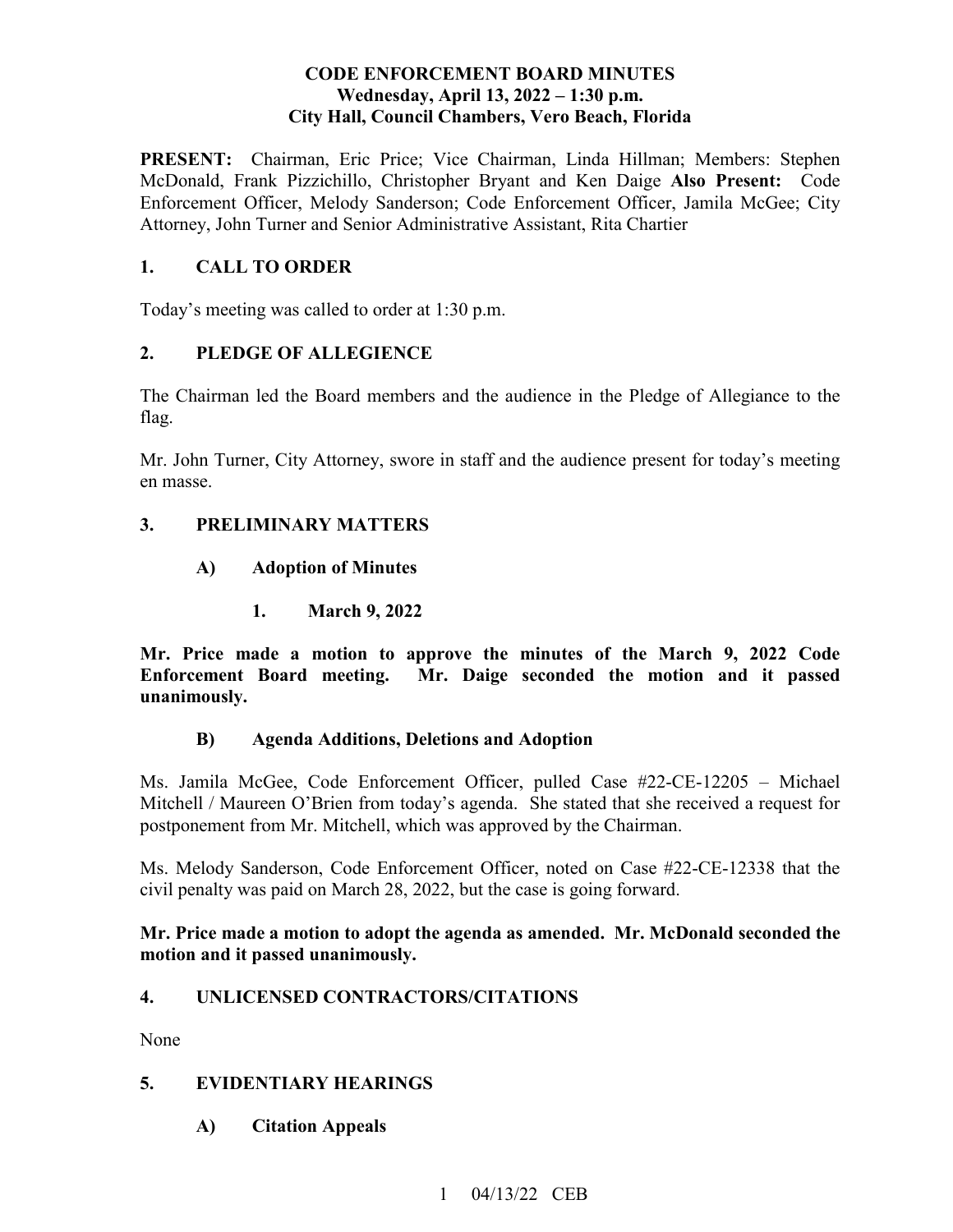## **CODE ENFORCEMENT BOARD MINUTES**  Wednesday, April 13, 2022 – 1:30 p.m. **City Hall, Council Chambers, Vero Beach, Florida**

PRESENT: Chairman, Eric Price; Vice Chairman, Linda Hillman; Members: Stephen  McDonald, Frank Pizzichillo, Christopher Bryant and Ken Daige **Also Present:** Code Enforcement Officer, Melody Sanderson; Code Enforcement Officer, Jamila McGee; City Attorney, John Turner and Senior Administrative Assistant, Rita Chartier

# **1. CALL TO ORDER**

Today's meeting was called to order at 1:30 p.m.

## **2. PLEDGE OF ALLEGIENCE**

The Chairman led the Board members and the audience in the Pledge of Allegiance to the flag.

Mr. John Turner, City Attorney, swore in staff and the audience present for today's meeting en masse.

## **3. PRELIMINARY MATTERS**

- **A) Adoption of Minutes** 
	- **1. March 9, 2022**

 **Mr. Price made a motion to approve the minutes of the March 9, 2022 Code Enforcement Board meeting.** Mr. Daige seconded the motion and it passed **unanimously.** 

## **B) Agenda Additions, Deletions and Adoption**

Ms. Jamila McGee, Code Enforcement Officer, pulled Case #22-CE-12205 – Michael Mitchell / Maureen O'Brien from today's agenda. She stated that she received a request for postponement from Mr. Mitchell, which was approved by the Chairman.

 civil penalty was paid on March 28, 2022, but the case is going forward. Ms. Melody Sanderson, Code Enforcement Officer, noted on Case #22-CE-12338 that the

#### **Mr. Price made a motion to adopt the agenda as amended. Mr. McDonald seconded the motion and it passed unanimously.**

## **4. UNLICENSED CONTRACTORS/CITATIONS**

None

## **5. EVIDENTIARY HEARINGS**

**A) Citation Appeals**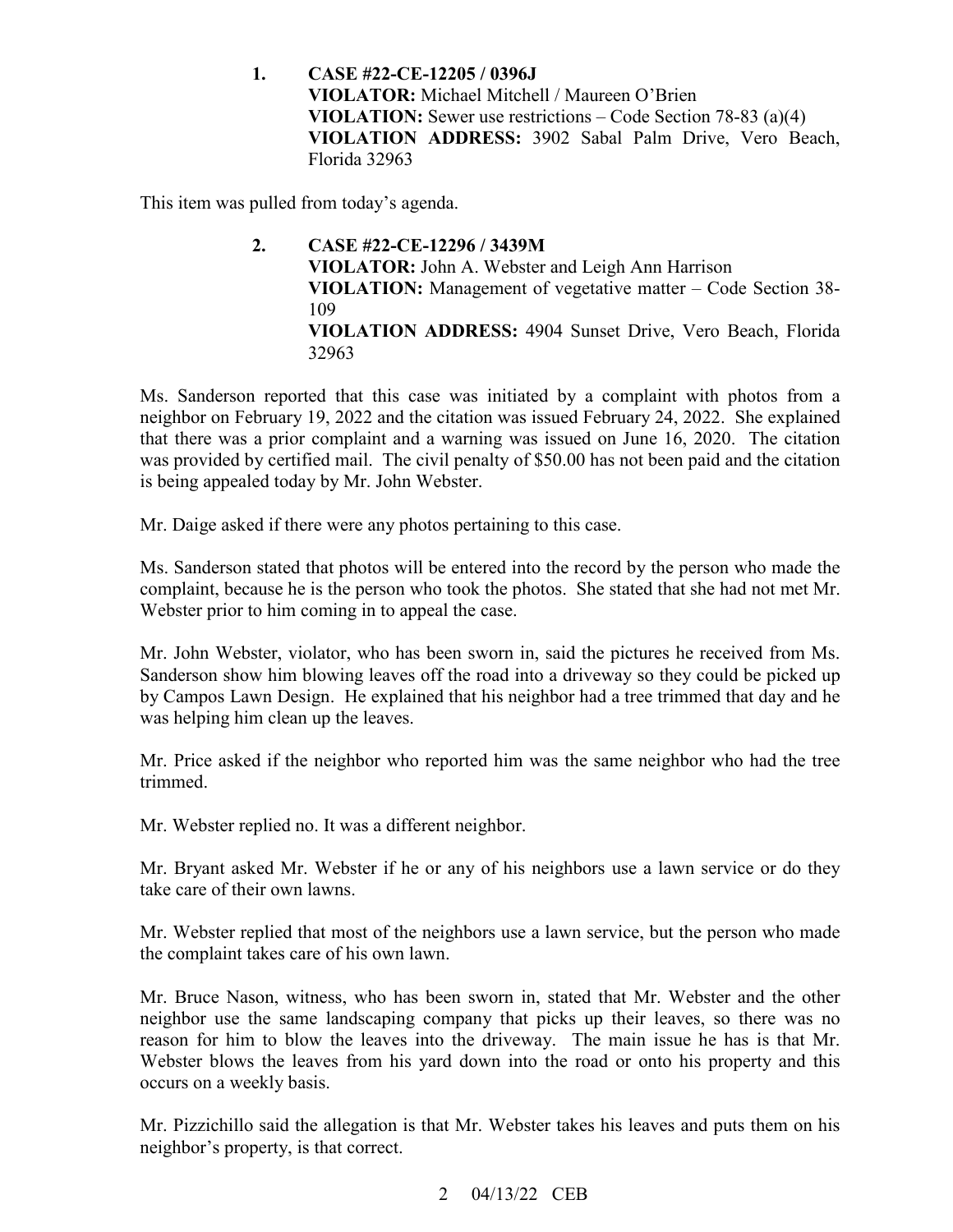**1. CASE #22-CE-12205 / 0396J VIOLATOR:** Michael Mitchell / Maureen O'Brien **VIOLATION:** Sewer use restrictions – Code Section 78-83 (a)(4) **VIOLATION ADDRESS:** 3902 Sabal Palm Drive, Vero Beach, Florida 32963

This item was pulled from today's agenda.

**2. CASE #22-CE-12296 / 3439M VIOLATOR:** John A. Webster and Leigh Ann Harrison **VIOLATION:** Management of vegetative matter – Code Section 38- 109 **VIOLATION ADDRESS:** 4904 Sunset Drive, Vero Beach, Florida 32963

 was provided by certified mail. The civil penalty of \$50.00 has not been paid and the citation Ms. Sanderson reported that this case was initiated by a complaint with photos from a neighbor on February 19, 2022 and the citation was issued February 24, 2022. She explained that there was a prior complaint and a warning was issued on June 16, 2020. The citation is being appealed today by Mr. John Webster.

Mr. Daige asked if there were any photos pertaining to this case.

 complaint, because he is the person who took the photos. She stated that she had not met Mr. Webster prior to him coming in to appeal the case. Ms. Sanderson stated that photos will be entered into the record by the person who made the

 Sanderson show him blowing leaves off the road into a driveway so they could be picked up by Campos Lawn Design. He explained that his neighbor had a tree trimmed that day and he Mr. John Webster, violator, who has been sworn in, said the pictures he received from Ms. was helping him clean up the leaves.

Mr. Price asked if the neighbor who reported him was the same neighbor who had the tree trimmed.

Mr. Webster replied no. It was a different neighbor.

Mr. Bryant asked Mr. Webster if he or any of his neighbors use a lawn service or do they take care of their own lawns.

 the complaint takes care of his own lawn. Mr. Webster replied that most of the neighbors use a lawn service, but the person who made

 neighbor use the same landscaping company that picks up their leaves, so there was no Webster blows the leaves from his yard down into the road or onto his property and this Mr. Bruce Nason, witness, who has been sworn in, stated that Mr. Webster and the other reason for him to blow the leaves into the driveway. The main issue he has is that Mr. occurs on a weekly basis.

Mr. Pizzichillo said the allegation is that Mr. Webster takes his leaves and puts them on his neighbor's property, is that correct.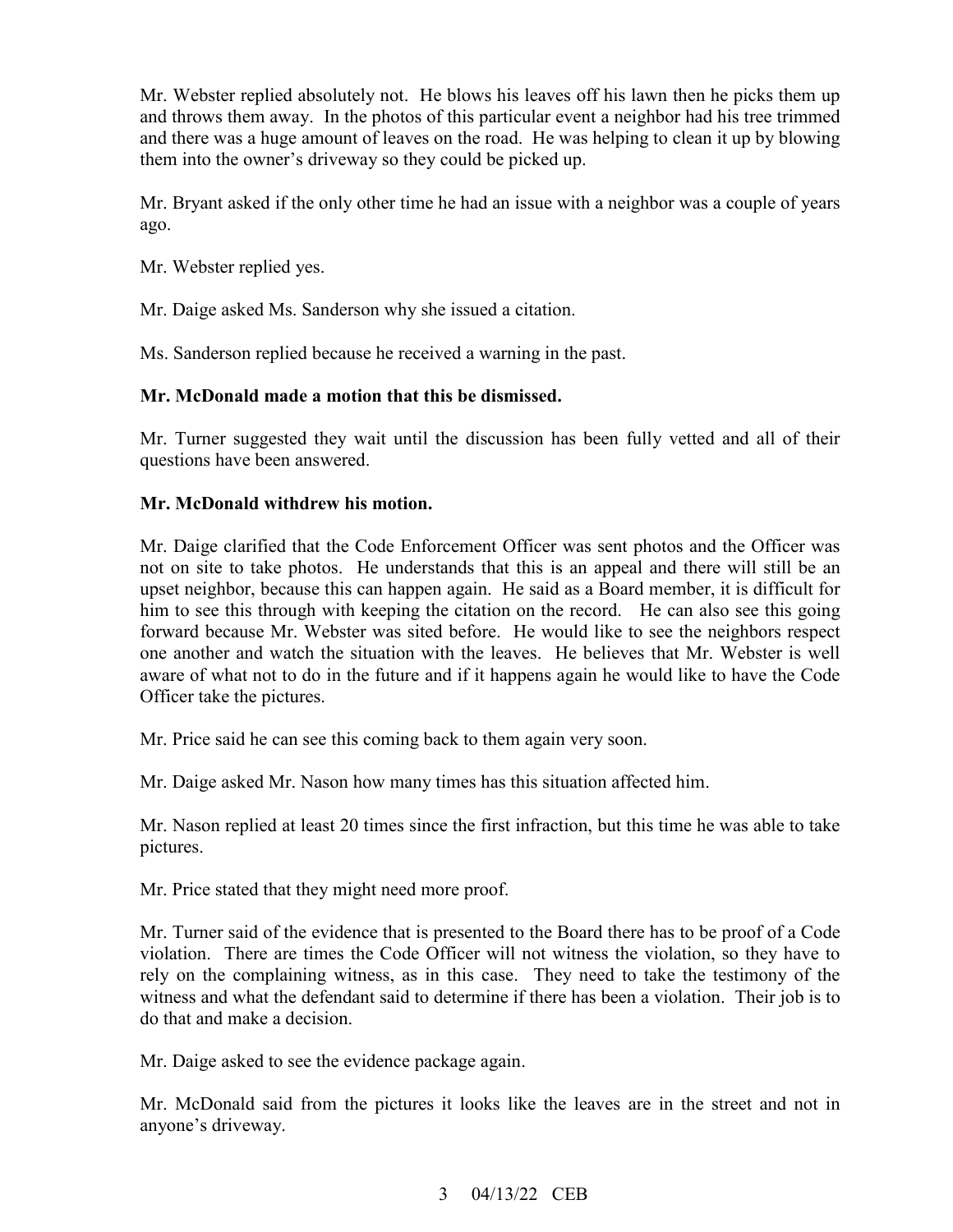Mr. Webster replied absolutely not. He blows his leaves off his lawn then he picks them up and throws them away. In the photos of this particular event a neighbor had his tree trimmed and there was a huge amount of leaves on the road. He was helping to clean it up by blowing them into the owner's driveway so they could be picked up.

 Mr. Bryant asked if the only other time he had an issue with a neighbor was a couple of years ago.

Mr. Webster replied yes.

Mr. Webster replied yes.<br>Mr. Daige asked Ms. Sanderson why she issued a citation.

Ms. Sanderson replied because he received a warning in the past.

#### **Mr. McDonald made a motion that this be dismissed.**

Mr. Turner suggested they wait until the discussion has been fully vetted and all of their questions have been answered.

#### **Mr. McDonald withdrew his motion.**

 Mr. Daige clarified that the Code Enforcement Officer was sent photos and the Officer was upset neighbor, because this can happen again. He said as a Board member, it is difficult for him to see this through with keeping the citation on the record. He can also see this going forward because Mr. Webster was sited before. He would like to see the neighbors respect one another and watch the situation with the leaves. He believes that Mr. Webster is well aware of what not to do in the future and if it happens again he would like to have the Code Officer take the pictures. not on site to take photos. He understands that this is an appeal and there will still be an

Mr. Price said he can see this coming back to them again very soon.

Mr. Daige asked Mr. Nason how many times has this situation affected him.

Mr. Nason replied at least 20 times since the first infraction, but this time he was able to take pictures.

Mr. Price stated that they might need more proof.

 rely on the complaining witness, as in this case. They need to take the testimony of the witness and what the defendant said to determine if there has been a violation. Their job is to Mr. Turner said of the evidence that is presented to the Board there has to be proof of a Code violation. There are times the Code Officer will not witness the violation, so they have to do that and make a decision.

Mr. Daige asked to see the evidence package again.

 Mr. McDonald said from the pictures it looks like the leaves are in the street and not in anyone's driveway.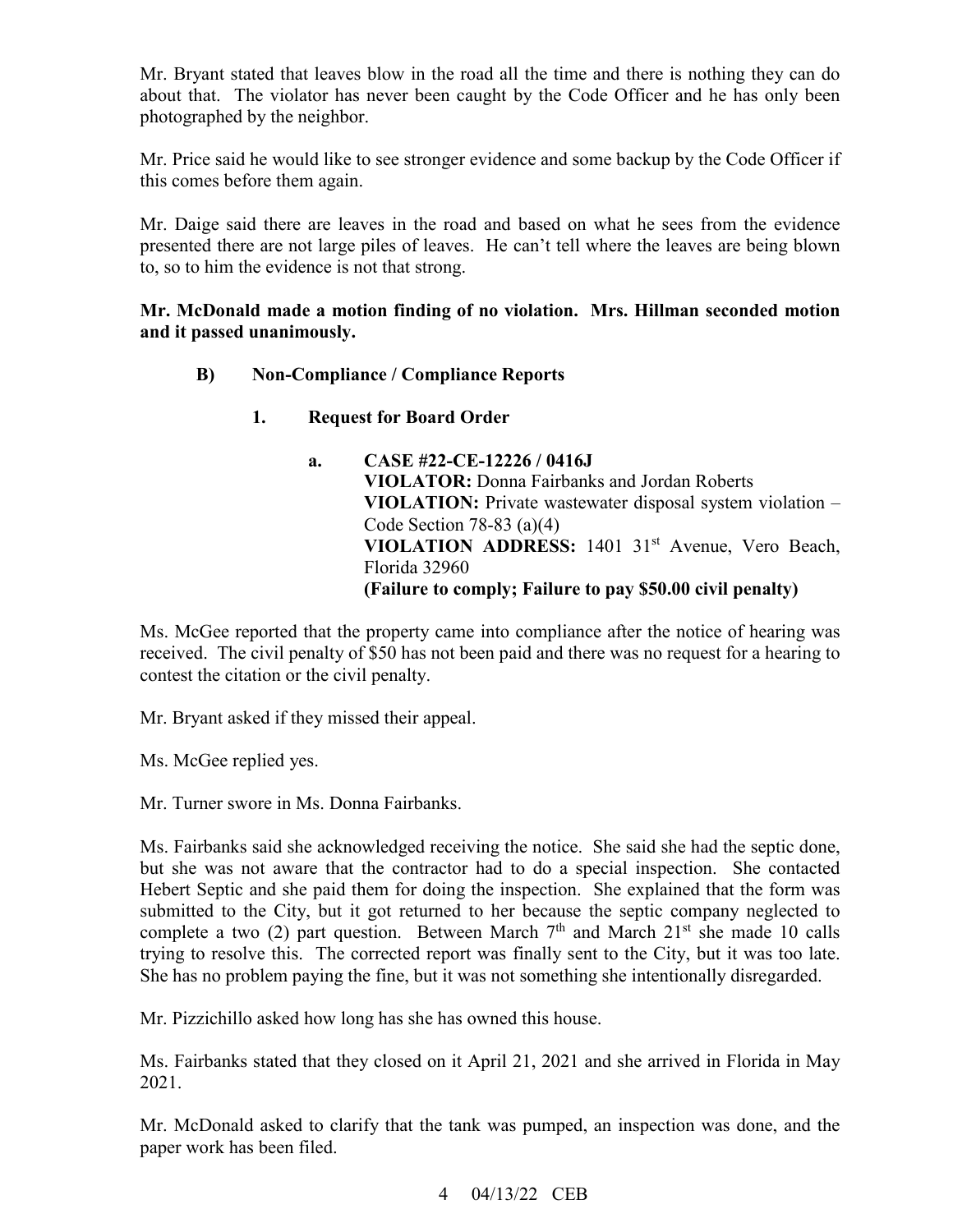Mr. Bryant stated that leaves blow in the road all the time and there is nothing they can do about that. The violator has never been caught by the Code Officer and he has only been photographed by the neighbor.

this comes before them again. Mr. Price said he would like to see stronger evidence and some backup by the Code Officer if

this comes before them again.<br>Mr. Daige said there are leaves in the road and based on what he sees from the evidence presented there are not large piles of leaves. He can't tell where the leaves are being blown to, so to him the evidence is not that strong.

#### **Mr. McDonald made a motion finding of no violation. Mrs. Hillman seconded motion and it passed unanimously.**

- **B) Non-Compliance / Compliance Reports** 
	- **Request for Board Order**
	- **VIOLATION:** Private wastewater disposal system violation  **(Failure to comply; Failure to pay \$50.00 civil penalty) 1. Request for Board Order a. CASE #22-CE-12226 / 0416J VIOLATOR:** Donna Fairbanks and Jordan Roberts Code Section 78-83 (a)(4) VIOLATION ADDRESS: 1401 31<sup>st</sup> Avenue, Vero Beach, Florida 32960

 Ms. McGee reported that the property came into compliance after the notice of hearing was contest the citation or the civil penalty. received. The civil penalty of \$50 has not been paid and there was no request for a hearing to

Mr. Bryant asked if they missed their appeal.

Ms. McGee replied yes.

Mr. Turner swore in Ms. Donna Fairbanks.

 but she was not aware that the contractor had to do a special inspection. She contacted Hebert Septic and she paid them for doing the inspection. She explained that the form was submitted to the City, but it got returned to her because the septic company neglected to Ms. Fairbanks said she acknowledged receiving the notice. She said she had the septic done, complete a two (2) part question. Between March  $7<sup>th</sup>$  and March  $21<sup>st</sup>$  she made 10 calls trying to resolve this. The corrected report was finally sent to the City, but it was too late. She has no problem paying the fine, but it was not something she intentionally disregarded.

Mr. Pizzichillo asked how long has she has owned this house.

Ms. Fairbanks stated that they closed on it April 21, 2021 and she arrived in Florida in May 2021.

Mr. McDonald asked to clarify that the tank was pumped, an inspection was done, and the paper work has been filed.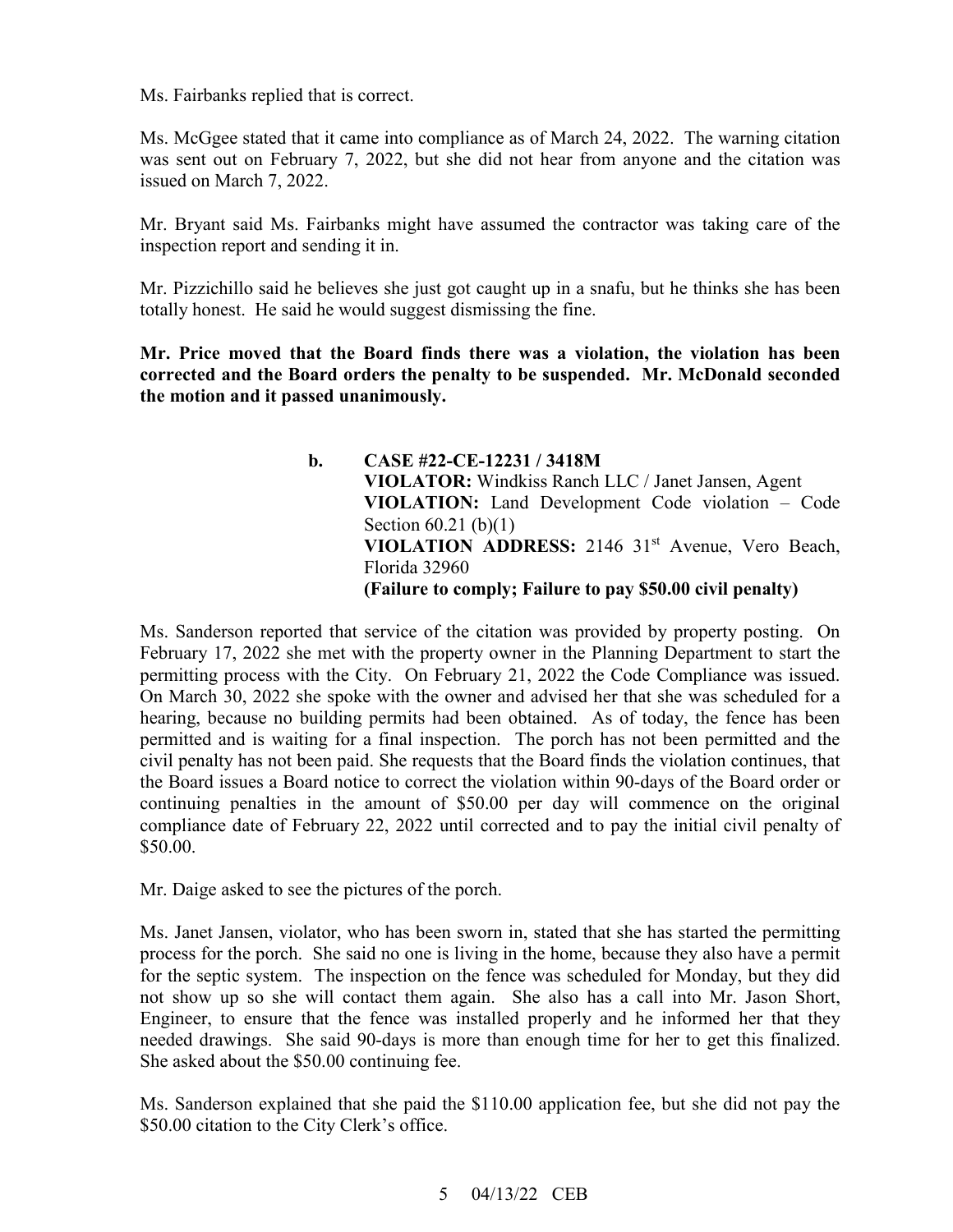Ms. Fairbanks replied that is correct.

 was sent out on February 7, 2022, but she did not hear from anyone and the citation was Ms. McGgee stated that it came into compliance as of March 24, 2022. The warning citation issued on March 7, 2022.

 Mr. Bryant said Ms. Fairbanks might have assumed the contractor was taking care of the inspection report and sending it in.

Mr. Pizzichillo said he believes she just got caught up in a snafu, but he thinks she has been totally honest. He said he would suggest dismissing the fine.

**Mr. Price moved that the Board finds there was a violation, the violation has been corrected and the Board orders the penalty to be suspended. Mr. McDonald seconded the motion and it passed unanimously.** 

> **VIOLATION:** Land Development Code violation – Code VIOLATION ADDRESS: 2146 31<sup>st</sup> Avenue, Vero Beach,  **(Failure to comply; Failure to pay \$50.00 civil penalty) b. CASE #22-CE-12231 / 3418M VIOLATOR:** Windkiss Ranch LLC / Janet Jansen, Agent Section 60.21 (b)(1) Florida 32960

permitting process with the City. On February 21, 2022 the Code Compliance was issued. Ms. Sanderson reported that service of the citation was provided by property posting. On February 17, 2022 she met with the property owner in the Planning Department to start the On March 30, 2022 she spoke with the owner and advised her that she was scheduled for a hearing, because no building permits had been obtained. As of today, the fence has been permitted and is waiting for a final inspection. The porch has not been permitted and the civil penalty has not been paid. She requests that the Board finds the violation continues, that the Board issues a Board notice to correct the violation within 90-days of the Board order or continuing penalties in the amount of \$50.00 per day will commence on the original compliance date of February 22, 2022 until corrected and to pay the initial civil penalty of \$50.00.

Mr. Daige asked to see the pictures of the porch.

 not show up so she will contact them again. She also has a call into Mr. Jason Short, Engineer, to ensure that the fence was installed properly and he informed her that they needed drawings. She said 90-days is more than enough time for her to get this finalized. She asked about the \$50.00 continuing fee. Ms. Janet Jansen, violator, who has been sworn in, stated that she has started the permitting process for the porch. She said no one is living in the home, because they also have a permit for the septic system. The inspection on the fence was scheduled for Monday, but they did

Ms. Sanderson explained that she paid the \$110.00 application fee, but she did not pay the \$50.00 citation to the City Clerk's office.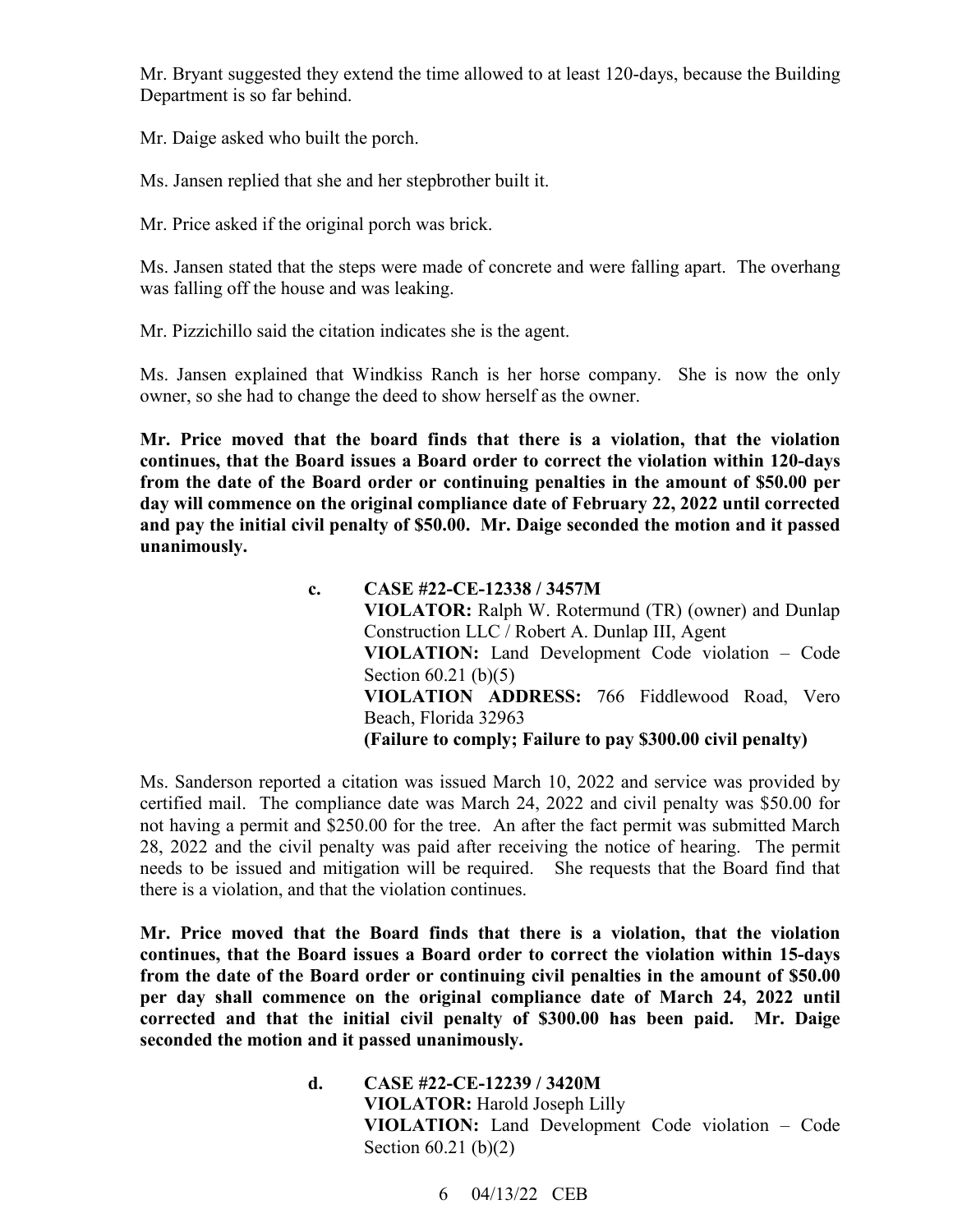Department is so far behind. Mr. Bryant suggested they extend the time allowed to at least 120-days, because the Building

Mr. Daige asked who built the porch.

Ms. Jansen replied that she and her stepbrother built it.

Mr. Price asked if the original porch was brick.

was falling off the house and was leaking. Ms. Jansen stated that the steps were made of concrete and were falling apart. The overhang

Mr. Pizzichillo said the citation indicates she is the agent.

Ms. Jansen explained that Windkiss Ranch is her horse company. She is now the only owner, so she had to change the deed to show herself as the owner.

 **and pay the initial civil penalty of \$50.00. Mr. Daige seconded the motion and it passed Mr. Price moved that the board finds that there is a violation, that the violation continues, that the Board issues a Board order to correct the violation within 120-days from the date of the Board order or continuing penalties in the amount of \$50.00 per day will commence on the original compliance date of February 22, 2022 until corrected unanimously.** 

> **VIOLATOR:** Ralph W. Rotermund (TR) (owner) and Dunlap **VIOLATION:** Land Development Code violation – Code  **(Failure to comply; Failure to pay \$300.00 civil penalty) c. CASE #22-CE-12338 / 3457M**  Construction LLC / Robert A. Dunlap III, Agent Section 60.21 (b)(5) **VIOLATION ADDRESS:** 766 Fiddlewood Road, Vero Beach, Florida 32963

 there is a violation, and that the violation continues. Ms. Sanderson reported a citation was issued March 10, 2022 and service was provided by certified mail. The compliance date was March 24, 2022 and civil penalty was \$50.00 for not having a permit and \$250.00 for the tree. An after the fact permit was submitted March 28, 2022 and the civil penalty was paid after receiving the notice of hearing. The permit needs to be issued and mitigation will be required. She requests that the Board find that

**Mr. Price moved that the Board finds that there is a violation, that the violation continues, that the Board issues a Board order to correct the violation within 15-days from the date of the Board order or continuing civil penalties in the amount of \$50.00 per day shall commence on the original compliance date of March 24, 2022 until corrected and that the initial civil penalty of \$300.00 has been paid. Mr. Daige seconded the motion and it passed unanimously.** 

> **VIOLATION:** Land Development Code violation – Code **d. CASE #22-CE-12239 / 3420M VIOLATOR:** Harold Joseph Lilly Section 60.21 (b)(2)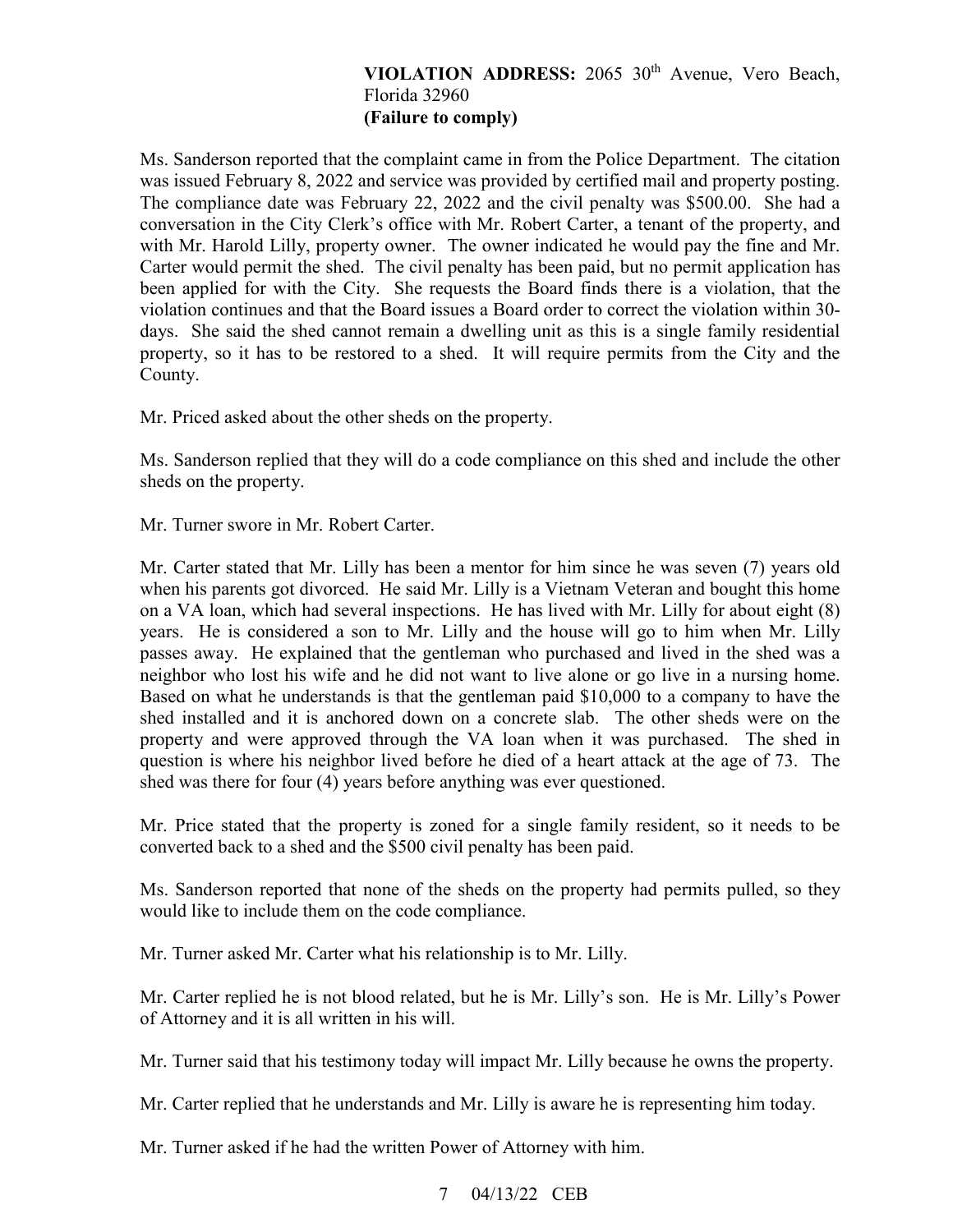## **VIOLATION ADDRESS:** 2065 30th Avenue, Vero Beach, Florida 32960 **(Failure to comply)**

 was issued February 8, 2022 and service was provided by certified mail and property posting. with Mr. Harold Lilly, property owner. The owner indicated he would pay the fine and Mr. property, so it has to be restored to a shed. It will require permits from the City and the Ms. Sanderson reported that the complaint came in from the Police Department. The citation The compliance date was February 22, 2022 and the civil penalty was \$500.00. She had a conversation in the City Clerk's office with Mr. Robert Carter, a tenant of the property, and Carter would permit the shed. The civil penalty has been paid, but no permit application has been applied for with the City. She requests the Board finds there is a violation, that the violation continues and that the Board issues a Board order to correct the violation within 30 days. She said the shed cannot remain a dwelling unit as this is a single family residential County.

Mr. Priced asked about the other sheds on the property.

Ms. Sanderson replied that they will do a code compliance on this shed and include the other sheds on the property.

Mr. Turner swore in Mr. Robert Carter.

 Mr. Carter stated that Mr. Lilly has been a mentor for him since he was seven (7) years old on a VA loan, which had several inspections. He has lived with Mr. Lilly for about eight (8) years. He is considered a son to Mr. Lilly and the house will go to him when Mr. Lilly shed was there for four (4) years before anything was ever questioned. when his parents got divorced. He said Mr. Lilly is a Vietnam Veteran and bought this home passes away. He explained that the gentleman who purchased and lived in the shed was a neighbor who lost his wife and he did not want to live alone or go live in a nursing home. Based on what he understands is that the gentleman paid \$10,000 to a company to have the shed installed and it is anchored down on a concrete slab. The other sheds were on the property and were approved through the VA loan when it was purchased. The shed in question is where his neighbor lived before he died of a heart attack at the age of 73. The

 shed was there for four (4) years before anything was ever questioned. Mr. Price stated that the property is zoned for a single family resident, so it needs to be converted back to a shed and the \$500 civil penalty has been paid.

Ms. Sanderson reported that none of the sheds on the property had permits pulled, so they would like to include them on the code compliance.

Mr. Turner asked Mr. Carter what his relationship is to Mr. Lilly.

 of Attorney and it is all written in his will. Mr. Carter replied he is not blood related, but he is Mr. Lilly's son. He is Mr. Lilly's Power

Mr. Turner said that his testimony today will impact Mr. Lilly because he owns the property.

Mr. Carter replied that he understands and Mr. Lilly is aware he is representing him today.

Mr. Turner asked if he had the written Power of Attorney with him.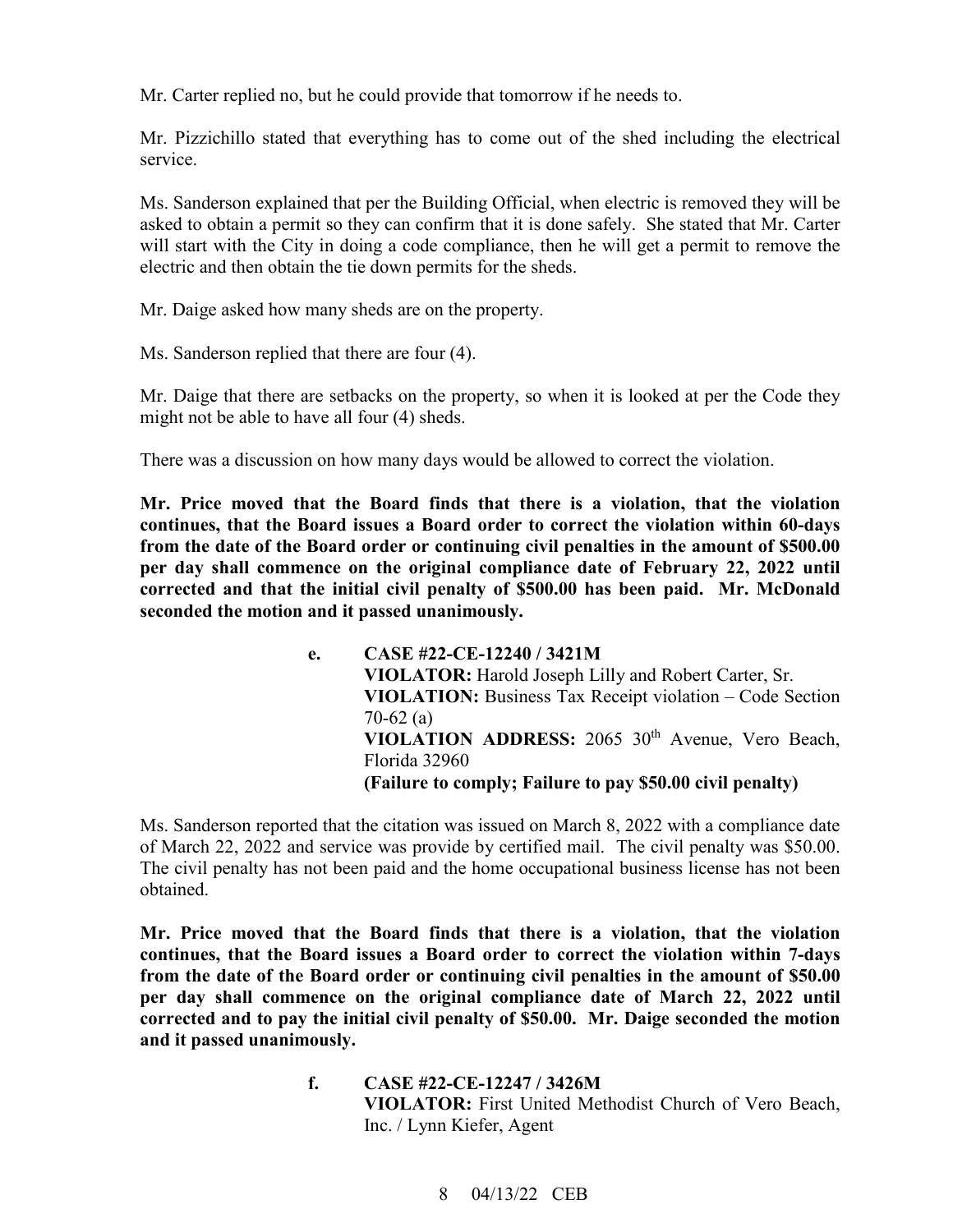Mr. Carter replied no, but he could provide that tomorrow if he needs to.

Mr. Pizzichillo stated that everything has to come out of the shed including the electrical service.

 Ms. Sanderson explained that per the Building Official, when electric is removed they will be asked to obtain a permit so they can confirm that it is done safely. She stated that Mr. Carter will start with the City in doing a code compliance, then he will get a permit to remove the electric and then obtain the tie down permits for the sheds.

Mr. Daige asked how many sheds are on the property.

Ms. Sanderson replied that there are four (4).

 might not be able to have all four (4) sheds. Mr. Daige that there are setbacks on the property, so when it is looked at per the Code they

There was a discussion on how many days would be allowed to correct the violation.

 **corrected and that the initial civil penalty of \$500.00 has been paid. Mr. McDonald seconded the motion and it passed unanimously. Mr. Price moved that the Board finds that there is a violation, that the violation continues, that the Board issues a Board order to correct the violation within 60-days from the date of the Board order or continuing civil penalties in the amount of \$500.00 per day shall commence on the original compliance date of February 22, 2022 until** 

> **VIOLATION ADDRESS:** 2065 30th Avenue, Vero Beach,  **(Failure to comply; Failure to pay \$50.00 civil penalty) e. CASE #22-CE-12240 / 3421M VIOLATOR:** Harold Joseph Lilly and Robert Carter, Sr. **VIOLATION:** Business Tax Receipt violation – Code Section 70-62 (a) Florida 32960

 of March 22, 2022 and service was provide by certified mail. The civil penalty was \$50.00. Ms. Sanderson reported that the citation was issued on March 8, 2022 with a compliance date The civil penalty has not been paid and the home occupational business license has not been obtained.

 **corrected and to pay the initial civil penalty of \$50.00. Mr. Daige seconded the motion Mr. Price moved that the Board finds that there is a violation, that the violation continues, that the Board issues a Board order to correct the violation within 7-days from the date of the Board order or continuing civil penalties in the amount of \$50.00 per day shall commence on the original compliance date of March 22, 2022 until and it passed unanimously.** 

> **f. CASE #22-CE-12247 / 3426M VIOLATOR:** First United Methodist Church of Vero Beach, Inc. / Lynn Kiefer, Agent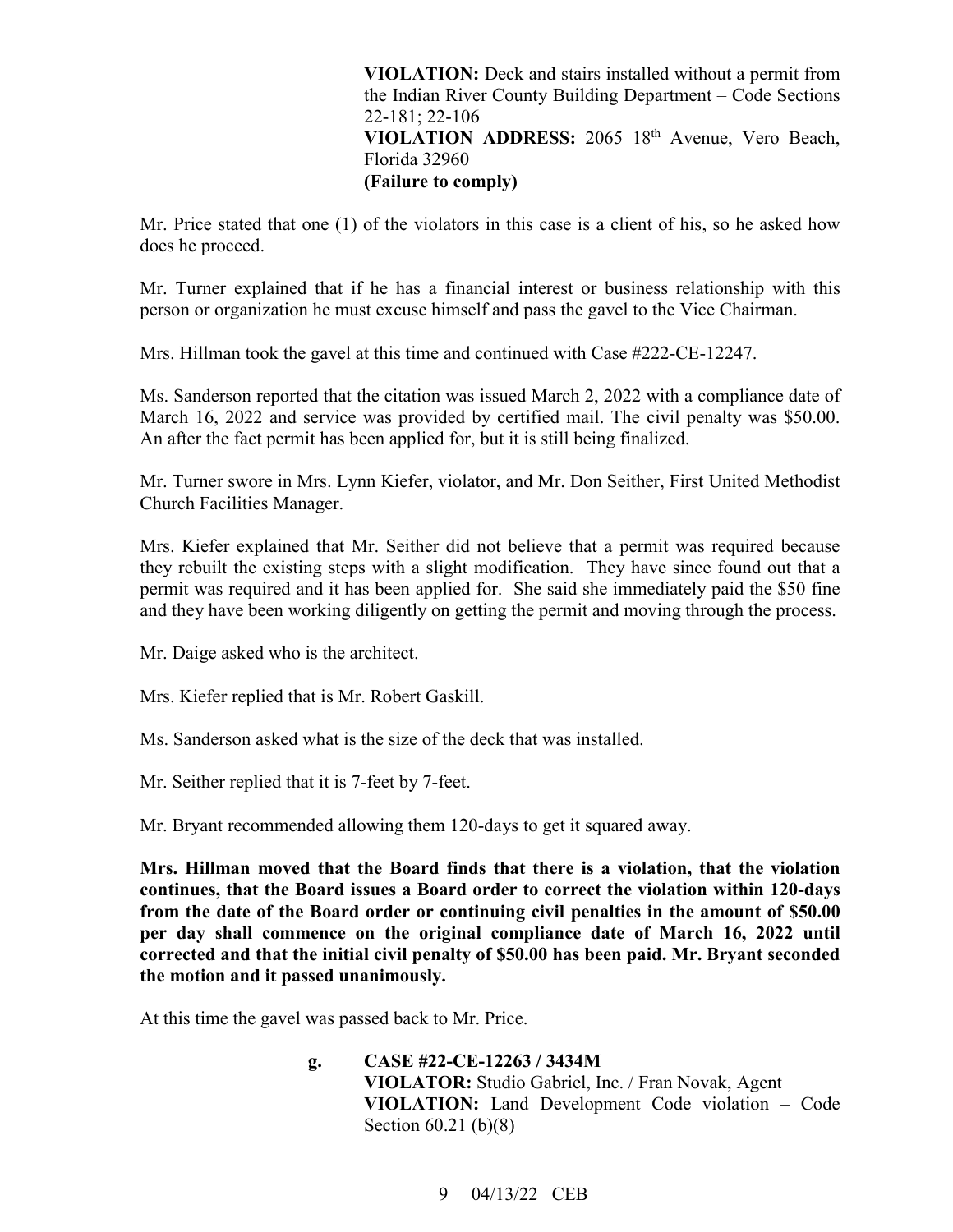**VIOLATION ADDRESS:** 2065 18th Avenue, Vero Beach, **VIOLATION:** Deck and stairs installed without a permit from the Indian River County Building Department – Code Sections 22-181; 22-106 Florida 32960 **(Failure to comply)** 

 Mr. Price stated that one (1) of the violators in this case is a client of his, so he asked how does he proceed.

 person or organization he must excuse himself and pass the gavel to the Vice Chairman. Mr. Turner explained that if he has a financial interest or business relationship with this

Mrs. Hillman took the gavel at this time and continued with Case #222-CE-12247.

Ms. Sanderson reported that the citation was issued March 2, 2022 with a compliance date of March 16, 2022 and service was provided by certified mail. The civil penalty was \$50.00. An after the fact permit has been applied for, but it is still being finalized.

 Mr. Turner swore in Mrs. Lynn Kiefer, violator, and Mr. Don Seither, First United Methodist Church Facilities Manager.

Mrs. Kiefer explained that Mr. Seither did not believe that a permit was required because they rebuilt the existing steps with a slight modification. They have since found out that a permit was required and it has been applied for. She said she immediately paid the \$50 fine and they have been working diligently on getting the permit and moving through the process.

Mr. Daige asked who is the architect.

Mrs. Kiefer replied that is Mr. Robert Gaskill.

Ms. Sanderson asked what is the size of the deck that was installed.

Mr. Seither replied that it is 7-feet by 7-feet.

Mr. Bryant recommended allowing them 120-days to get it squared away.

 **Mrs. Hillman moved that the Board finds that there is a violation, that the violation continues, that the Board issues a Board order to correct the violation within 120-days from the date of the Board order or continuing civil penalties in the amount of \$50.00 per day shall commence on the original compliance date of March 16, 2022 until corrected and that the initial civil penalty of \$50.00 has been paid. Mr. Bryant seconded the motion and it passed unanimously.** 

 At this time the gavel was passed back to Mr. Price.

 **VIOLATION:** Land Development Code violation – Code **g. CASE #22-CE-12263 / 3434M VIOLATOR:** Studio Gabriel, Inc. / Fran Novak, Agent Section 60.21 (b)(8)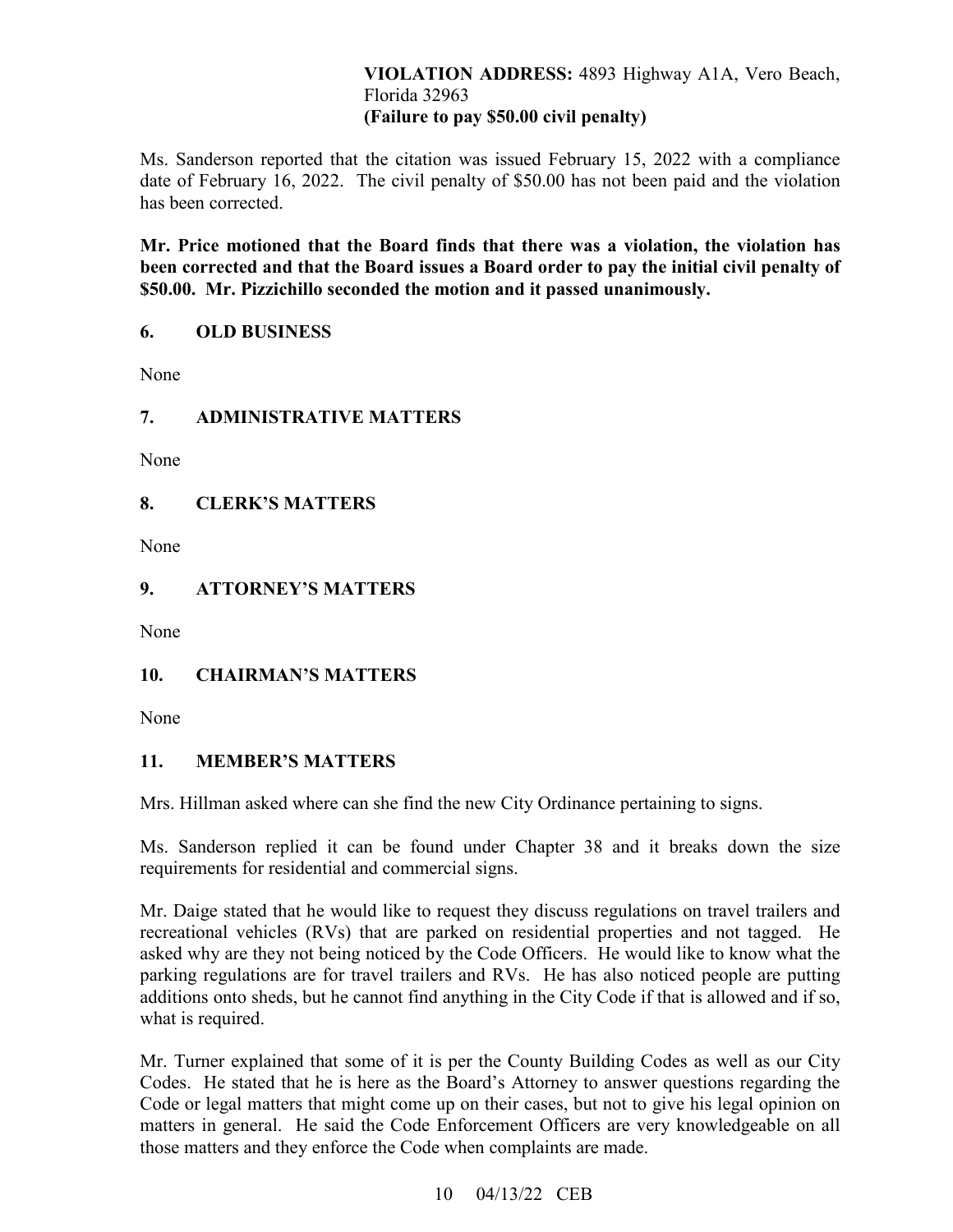## **VIOLATION ADDRESS:** 4893 Highway A1A, Vero Beach, Florida 32963 **(Failure to pay \$50.00 civil penalty)**

 date of February 16, 2022. The civil penalty of \$50.00 has not been paid and the violation Ms. Sanderson reported that the citation was issued February 15, 2022 with a compliance has been corrected.

 **\$50.00. Mr. Pizzichillo seconded the motion and it passed unanimously. Mr. Price motioned that the Board finds that there was a violation, the violation has been corrected and that the Board issues a Board order to pay the initial civil penalty of** 

#### **6. OLD BUSINESS**

None

# **7. ADMINISTRATIVE MATTERS**

None

## **8. CLERK'S MATTERS**

None

# **9. ATTORNEY'S MATTERS**

None

# **10. CHAIRMAN'S MATTERS**

None

## **11. MEMBER'S MATTERS**

Mrs. Hillman asked where can she find the new City Ordinance pertaining to signs.

Ms. Sanderson replied it can be found under Chapter 38 and it breaks down the size requirements for residential and commercial signs.

 Mr. Daige stated that he would like to request they discuss regulations on travel trailers and recreational vehicles (RVs) that are parked on residential properties and not tagged. He asked why are they not being noticed by the Code Officers. He would like to know what the parking regulations are for travel trailers and RVs. He has also noticed people are putting additions onto sheds, but he cannot find anything in the City Code if that is allowed and if so, what is required.

 Mr. Turner explained that some of it is per the County Building Codes as well as our City matters in general. He said the Code Enforcement Officers are very knowledgeable on all those matters and they enforce the Code when complaints are made.<br> $10 \quad 04/13/22 \quad \text{CEB}$ Codes. He stated that he is here as the Board's Attorney to answer questions regarding the Code or legal matters that might come up on their cases, but not to give his legal opinion on